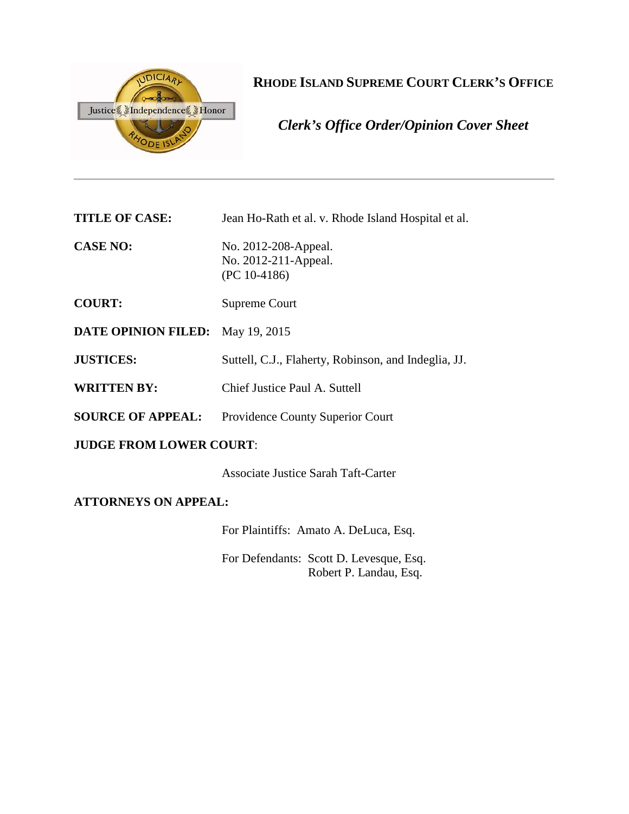

# **RHODE ISLAND SUPREME COURT CLERK'S OFFICE**

*Clerk's Office Order/Opinion Cover Sheet*

**TITLE OF CASE:** Jean Ho-Rath et al. v. Rhode Island Hospital et al.

**CASE NO:** No. 2012-208-Appeal. No. 2012-211-Appeal. (PC 10-4186)

- **COURT:** Supreme Court
- **DATE OPINION FILED:** May 19, 2015
- **JUSTICES:** Suttell, C.J., Flaherty, Robinson, and Indeglia, JJ.
- **WRITTEN BY:** Chief Justice Paul A. Suttell
- **SOURCE OF APPEAL:** Providence County Superior Court

# **JUDGE FROM LOWER COURT**:

Associate Justice Sarah Taft-Carter

# **ATTORNEYS ON APPEAL:**

For Plaintiffs: Amato A. DeLuca, Esq.

For Defendants: Scott D. Levesque, Esq. Robert P. Landau, Esq.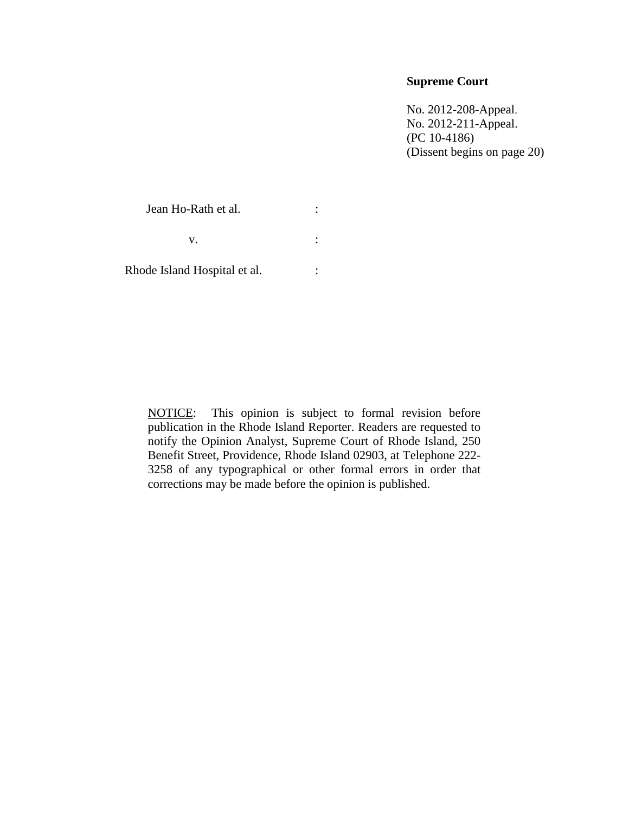# **Supreme Court**

No. 2012-208-Appeal. No. 2012-211-Appeal. (PC 10-4186) (Dissent begins on page 20)

Jean Ho-Rath et al. :  $\mathbf{v}$ .  $\qquad \qquad$  :

Rhode Island Hospital et al. :

NOTICE: This opinion is subject to formal revision before publication in the Rhode Island Reporter. Readers are requested to notify the Opinion Analyst, Supreme Court of Rhode Island, 250 Benefit Street, Providence, Rhode Island 02903, at Telephone 222- 3258 of any typographical or other formal errors in order that corrections may be made before the opinion is published.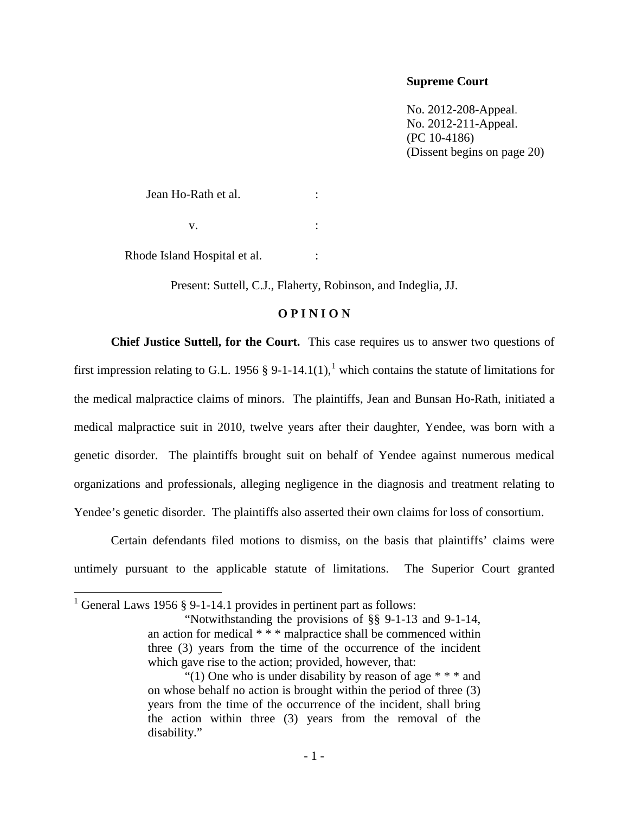### **Supreme Court**

No. 2012-208-Appeal. No. 2012-211-Appeal. (PC 10-4186) (Dissent begins on page 20)

Jean Ho-Rath et al. :  $\mathbf{v}$ .  $\qquad \qquad$  :

Rhode Island Hospital et al.  $\cdot$ 

Present: Suttell, C.J., Flaherty, Robinson, and Indeglia, JJ.

## **O P I N I O N**

**Chief Justice Suttell, for the Court.** This case requires us to answer two questions of first impression relating to G.L. [1](#page-2-0)956 § 9-1-14.1(1),<sup>1</sup> which contains the statute of limitations for the medical malpractice claims of minors. The plaintiffs, Jean and Bunsan Ho-Rath, initiated a medical malpractice suit in 2010, twelve years after their daughter, Yendee, was born with a genetic disorder. The plaintiffs brought suit on behalf of Yendee against numerous medical organizations and professionals, alleging negligence in the diagnosis and treatment relating to Yendee's genetic disorder. The plaintiffs also asserted their own claims for loss of consortium.

Certain defendants filed motions to dismiss, on the basis that plaintiffs' claims were untimely pursuant to the applicable statute of limitations. The Superior Court granted

<span id="page-2-0"></span><sup>&</sup>lt;sup>1</sup> General Laws 1956 § 9-1-14.1 provides in pertinent part as follows:

<sup>&</sup>quot;Notwithstanding the provisions of §§ 9-1-13 and 9-1-14, an action for medical \* \* \* malpractice shall be commenced within three (3) years from the time of the occurrence of the incident which gave rise to the action; provided, however, that:

<sup>&</sup>quot;(1) One who is under disability by reason of age  $**$  and on whose behalf no action is brought within the period of three (3) years from the time of the occurrence of the incident, shall bring the action within three (3) years from the removal of the disability."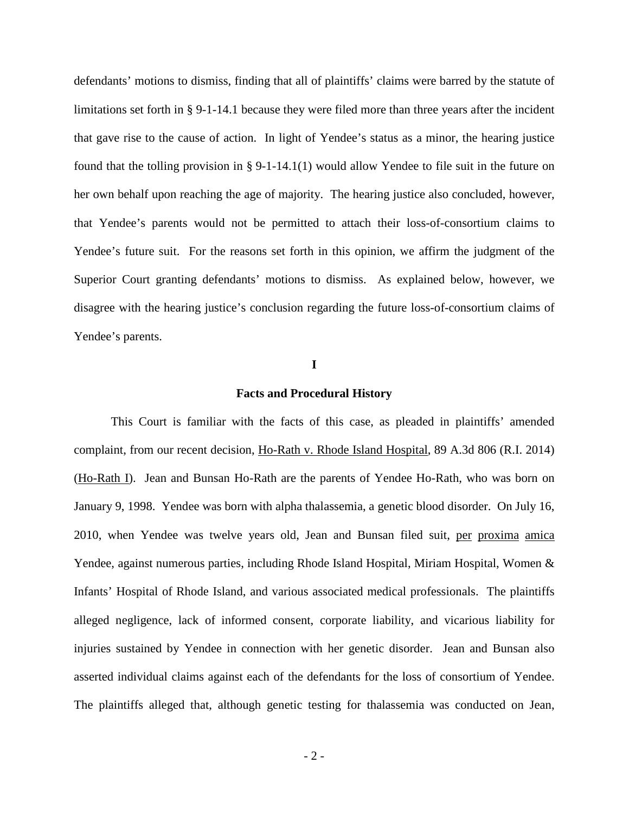defendants' motions to dismiss, finding that all of plaintiffs' claims were barred by the statute of limitations set forth in § 9-1-14.1 because they were filed more than three years after the incident that gave rise to the cause of action. In light of Yendee's status as a minor, the hearing justice found that the tolling provision in § 9-1-14.1(1) would allow Yendee to file suit in the future on her own behalf upon reaching the age of majority. The hearing justice also concluded, however, that Yendee's parents would not be permitted to attach their loss-of-consortium claims to Yendee's future suit. For the reasons set forth in this opinion, we affirm the judgment of the Superior Court granting defendants' motions to dismiss. As explained below, however, we disagree with the hearing justice's conclusion regarding the future loss-of-consortium claims of Yendee's parents.

#### **I**

#### **Facts and Procedural History**

This Court is familiar with the facts of this case, as pleaded in plaintiffs' amended complaint, from our recent decision, Ho-Rath v. Rhode Island Hospital, 89 A.3d 806 (R.I. 2014) (Ho-Rath I). Jean and Bunsan Ho-Rath are the parents of Yendee Ho-Rath, who was born on January 9, 1998. Yendee was born with alpha thalassemia, a genetic blood disorder. On July 16, 2010, when Yendee was twelve years old, Jean and Bunsan filed suit, per proxima amica Yendee, against numerous parties, including Rhode Island Hospital, Miriam Hospital, Women & Infants' Hospital of Rhode Island, and various associated medical professionals. The plaintiffs alleged negligence, lack of informed consent, corporate liability, and vicarious liability for injuries sustained by Yendee in connection with her genetic disorder. Jean and Bunsan also asserted individual claims against each of the defendants for the loss of consortium of Yendee. The plaintiffs alleged that, although genetic testing for thalassemia was conducted on Jean,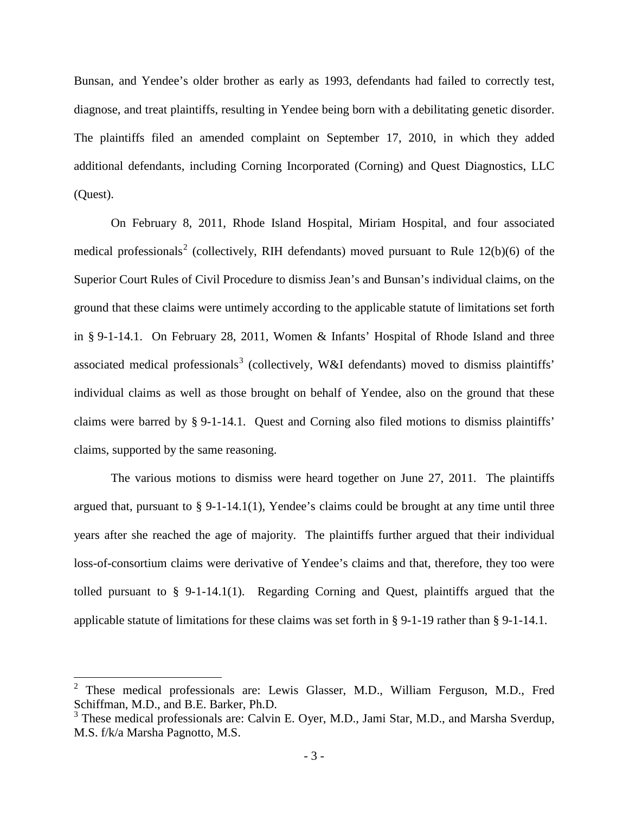Bunsan, and Yendee's older brother as early as 1993, defendants had failed to correctly test, diagnose, and treat plaintiffs, resulting in Yendee being born with a debilitating genetic disorder. The plaintiffs filed an amended complaint on September 17, 2010, in which they added additional defendants, including Corning Incorporated (Corning) and Quest Diagnostics, LLC (Quest).

On February 8, 2011, Rhode Island Hospital, Miriam Hospital, and four associated medical professionals<sup>[2](#page-4-0)</sup> (collectively, RIH defendants) moved pursuant to Rule  $12(b)(6)$  of the Superior Court Rules of Civil Procedure to dismiss Jean's and Bunsan's individual claims, on the ground that these claims were untimely according to the applicable statute of limitations set forth in § 9-1-14.1. On February 28, 2011, Women & Infants' Hospital of Rhode Island and three associated medical professionals<sup>[3](#page-4-1)</sup> (collectively, W&I defendants) moved to dismiss plaintiffs' individual claims as well as those brought on behalf of Yendee, also on the ground that these claims were barred by § 9-1-14.1. Quest and Corning also filed motions to dismiss plaintiffs' claims, supported by the same reasoning.

The various motions to dismiss were heard together on June 27, 2011. The plaintiffs argued that, pursuant to  $\S 9$ -1-14.1(1), Yendee's claims could be brought at any time until three years after she reached the age of majority. The plaintiffs further argued that their individual loss-of-consortium claims were derivative of Yendee's claims and that, therefore, they too were tolled pursuant to § 9-1-14.1(1). Regarding Corning and Quest, plaintiffs argued that the applicable statute of limitations for these claims was set forth in § 9-1-19 rather than § 9-1-14.1.

<span id="page-4-0"></span><sup>2</sup> These medical professionals are: Lewis Glasser, M.D., William Ferguson, M.D., Fred Schiffman, M.D., and B.E. Barker, Ph.D.

<span id="page-4-1"></span> $3$  These medical professionals are: Calvin E. Oyer, M.D., Jami Star, M.D., and Marsha Sverdup, M.S. f/k/a Marsha Pagnotto, M.S.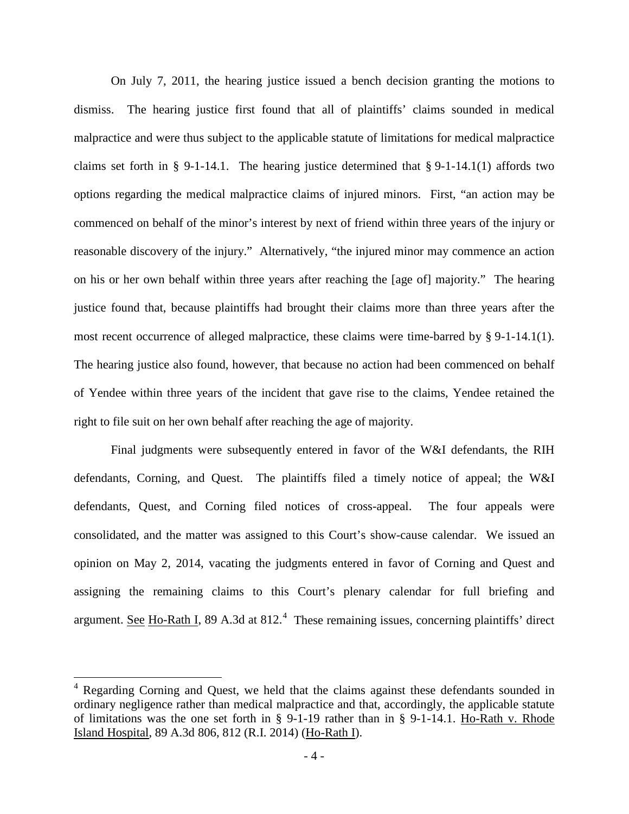On July 7, 2011, the hearing justice issued a bench decision granting the motions to dismiss. The hearing justice first found that all of plaintiffs' claims sounded in medical malpractice and were thus subject to the applicable statute of limitations for medical malpractice claims set forth in § 9-1-14.1. The hearing justice determined that § 9-1-14.1(1) affords two options regarding the medical malpractice claims of injured minors. First, "an action may be commenced on behalf of the minor's interest by next of friend within three years of the injury or reasonable discovery of the injury." Alternatively, "the injured minor may commence an action on his or her own behalf within three years after reaching the [age of] majority." The hearing justice found that, because plaintiffs had brought their claims more than three years after the most recent occurrence of alleged malpractice, these claims were time-barred by  $\S 9-1-14.1(1)$ . The hearing justice also found, however, that because no action had been commenced on behalf of Yendee within three years of the incident that gave rise to the claims, Yendee retained the right to file suit on her own behalf after reaching the age of majority.

Final judgments were subsequently entered in favor of the W&I defendants, the RIH defendants, Corning, and Quest. The plaintiffs filed a timely notice of appeal; the W&I defendants, Quest, and Corning filed notices of cross-appeal. The four appeals were consolidated, and the matter was assigned to this Court's show-cause calendar. We issued an opinion on May 2, 2014, vacating the judgments entered in favor of Corning and Quest and assigning the remaining claims to this Court's plenary calendar for full briefing and argument. See Ho-Rath I, 89 A.3d at 812.<sup>[4](#page-5-0)</sup> These remaining issues, concerning plaintiffs' direct

<span id="page-5-0"></span><sup>&</sup>lt;sup>4</sup> Regarding Corning and Quest, we held that the claims against these defendants sounded in ordinary negligence rather than medical malpractice and that, accordingly, the applicable statute of limitations was the one set forth in § 9-1-19 rather than in § 9-1-14.1. Ho-Rath v. Rhode Island Hospital, 89 A.3d 806, 812 (R.I. 2014) (Ho-Rath I).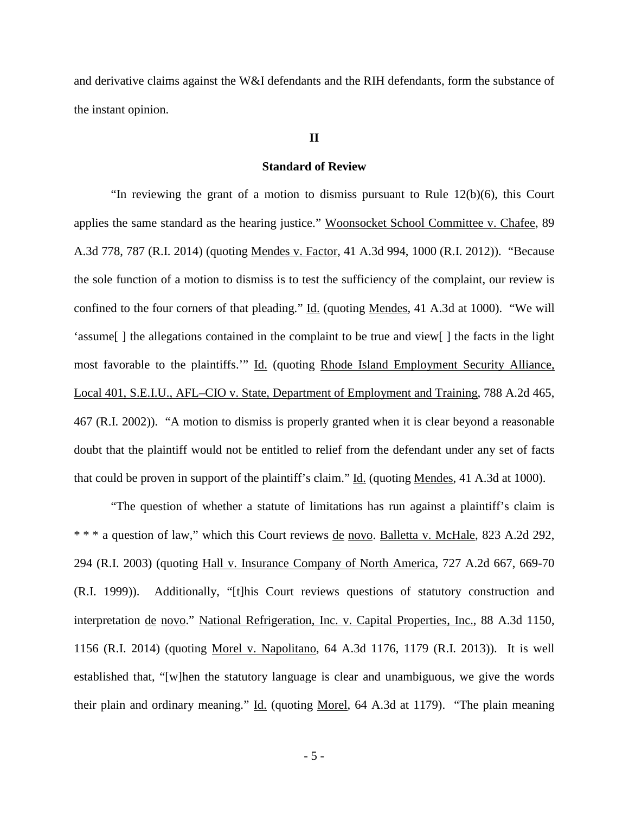and derivative claims against the W&I defendants and the RIH defendants, form the substance of the instant opinion.

### **II**

#### **Standard of Review**

"In reviewing the grant of a motion to dismiss pursuant to Rule  $12(b)(6)$ , this Court applies the same standard as the hearing justice." Woonsocket School Committee v. Chafee, 89 A.3d 778, 787 (R.I. 2014) (quoting Mendes v. Factor, 41 A.3d 994, 1000 (R.I. 2012)). "Because the sole function of a motion to dismiss is to test the sufficiency of the complaint, our review is confined to the four corners of that pleading." Id. (quoting Mendes, 41 A.3d at 1000). "We will 'assume[ ] the allegations contained in the complaint to be true and view[ ] the facts in the light most favorable to the plaintiffs." Id. (quoting Rhode Island Employment Security Alliance, Local 401, S.E.I.U., AFL–CIO v. State, Department of Employment and Training, 788 A.2d 465, 467 (R.I. 2002)). "A motion to dismiss is properly granted when it is clear beyond a reasonable doubt that the plaintiff would not be entitled to relief from the defendant under any set of facts that could be proven in support of the plaintiff's claim." Id. (quoting Mendes, 41 A.3d at 1000).

"The question of whether a statute of limitations has run against a plaintiff's claim is \* \* \* a question of law," which this Court reviews de novo. Balletta v. McHale, 823 A.2d 292, 294 (R.I. 2003) (quoting Hall v. Insurance Company of North America, 727 A.2d 667, 669-70 (R.I. 1999)). Additionally, "[t]his Court reviews questions of statutory construction and interpretation de novo." National Refrigeration, Inc. v. Capital Properties, Inc., 88 A.3d 1150, 1156 (R.I. 2014) (quoting Morel v. Napolitano, 64 A.3d 1176, 1179 (R.I. 2013)). It is well established that, "[w]hen the statutory language is clear and unambiguous, we give the words their plain and ordinary meaning." Id. (quoting Morel, 64 A.3d at 1179). "The plain meaning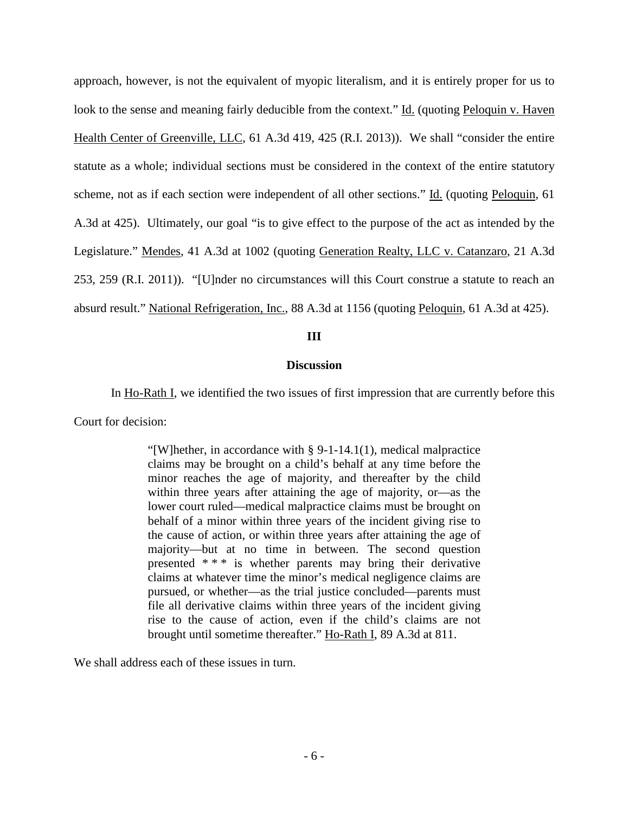approach, however, is not the equivalent of myopic literalism, and it is entirely proper for us to look to the sense and meaning fairly deducible from the context." Id. (quoting Peloquin v. Haven Health Center of Greenville, LLC, 61 A.3d 419, 425 (R.I. 2013)). We shall "consider the entire statute as a whole; individual sections must be considered in the context of the entire statutory scheme, not as if each section were independent of all other sections." Id. (quoting Peloquin, 61 A.3d at 425). Ultimately, our goal "is to give effect to the purpose of the act as intended by the Legislature." Mendes, 41 A.3d at 1002 (quoting Generation Realty, LLC v. Catanzaro, 21 A.3d 253, 259 (R.I. 2011)). "[U]nder no circumstances will this Court construe a statute to reach an absurd result." National Refrigeration, Inc., 88 A.3d at 1156 (quoting Peloquin, 61 A.3d at 425).

# **III**

### **Discussion**

In Ho-Rath I, we identified the two issues of first impression that are currently before this Court for decision:

> "[W]hether, in accordance with § 9-1-14.1(1), medical malpractice claims may be brought on a child's behalf at any time before the minor reaches the age of majority, and thereafter by the child within three years after attaining the age of majority, or—as the lower court ruled—medical malpractice claims must be brought on behalf of a minor within three years of the incident giving rise to the cause of action, or within three years after attaining the age of majority—but at no time in between. The second question presented \* \* \* is whether parents may bring their derivative claims at whatever time the minor's medical negligence claims are pursued, or whether—as the trial justice concluded—parents must file all derivative claims within three years of the incident giving rise to the cause of action, even if the child's claims are not brought until sometime thereafter." Ho-Rath I, 89 A.3d at 811.

We shall address each of these issues in turn.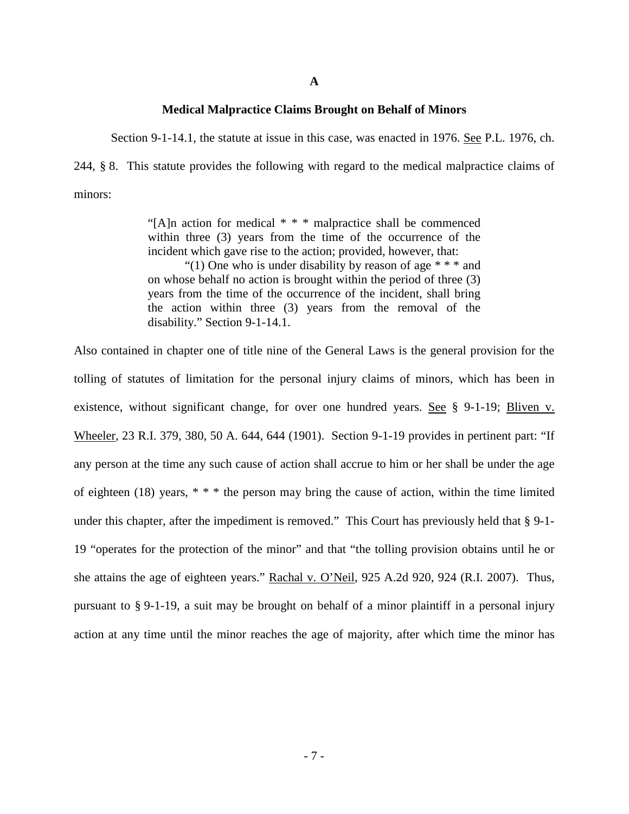#### **Medical Malpractice Claims Brought on Behalf of Minors**

Section 9-1-14.1, the statute at issue in this case, was enacted in 1976. See P.L. 1976, ch.

244, § 8. This statute provides the following with regard to the medical malpractice claims of minors:

> "[A]n action for medical \* \* \* malpractice shall be commenced within three (3) years from the time of the occurrence of the incident which gave rise to the action; provided, however, that:

> "(1) One who is under disability by reason of age  $**$  and on whose behalf no action is brought within the period of three (3) years from the time of the occurrence of the incident, shall bring the action within three (3) years from the removal of the disability." Section 9-1-14.1.

Also contained in chapter one of title nine of the General Laws is the general provision for the tolling of statutes of limitation for the personal injury claims of minors, which has been in existence, without significant change, for over one hundred years. See § 9-1-19; Bliven v. Wheeler, 23 R.I. 379, 380, 50 A. 644, 644 (1901). Section 9-1-19 provides in pertinent part: "If any person at the time any such cause of action shall accrue to him or her shall be under the age of eighteen (18) years,  $* * *$  the person may bring the cause of action, within the time limited under this chapter, after the impediment is removed." This Court has previously held that § 9-1- 19 "operates for the protection of the minor" and that "the tolling provision obtains until he or she attains the age of eighteen years." Rachal v. O'Neil, 925 A.2d 920, 924 (R.I. 2007). Thus, pursuant to § 9-1-19, a suit may be brought on behalf of a minor plaintiff in a personal injury action at any time until the minor reaches the age of majority, after which time the minor has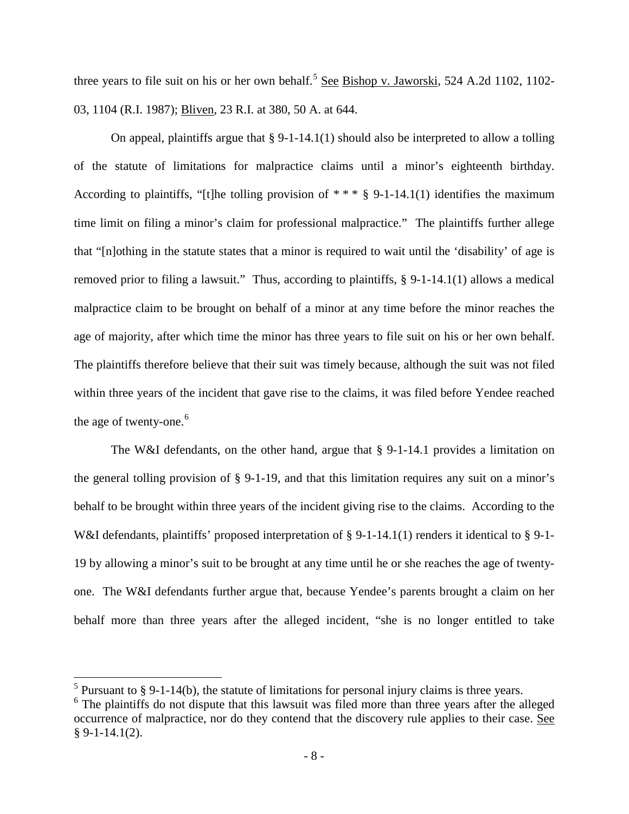three years to file suit on his or her own behalf.<sup>[5](#page-9-0)</sup> See Bishop v. Jaworski, 524 A.2d 1102, 1102-03, 1104 (R.I. 1987); Bliven, 23 R.I. at 380, 50 A. at 644.

On appeal, plaintiffs argue that  $\S 9$ -1-14.1(1) should also be interpreted to allow a tolling of the statute of limitations for malpractice claims until a minor's eighteenth birthday. According to plaintiffs, "[t]he tolling provision of  $***$  § 9-1-14.1(1) identifies the maximum time limit on filing a minor's claim for professional malpractice." The plaintiffs further allege that "[n]othing in the statute states that a minor is required to wait until the 'disability' of age is removed prior to filing a lawsuit." Thus, according to plaintiffs, § 9-1-14.1(1) allows a medical malpractice claim to be brought on behalf of a minor at any time before the minor reaches the age of majority, after which time the minor has three years to file suit on his or her own behalf. The plaintiffs therefore believe that their suit was timely because, although the suit was not filed within three years of the incident that gave rise to the claims, it was filed before Yendee reached the age of twenty-one.<sup>[6](#page-9-1)</sup>

The W&I defendants, on the other hand, argue that § 9-1-14.1 provides a limitation on the general tolling provision of § 9-1-19, and that this limitation requires any suit on a minor's behalf to be brought within three years of the incident giving rise to the claims. According to the W&I defendants, plaintiffs' proposed interpretation of § 9-1-14.1(1) renders it identical to § 9-1-19 by allowing a minor's suit to be brought at any time until he or she reaches the age of twentyone. The W&I defendants further argue that, because Yendee's parents brought a claim on her behalf more than three years after the alleged incident, "she is no longer entitled to take

<span id="page-9-0"></span><sup>&</sup>lt;sup>5</sup> Pursuant to § 9-1-14(b), the statute of limitations for personal injury claims is three years.

<span id="page-9-1"></span> $6$  The plaintiffs do not dispute that this lawsuit was filed more than three years after the alleged occurrence of malpractice, nor do they contend that the discovery rule applies to their case. See  $§ 9-1-14.1(2).$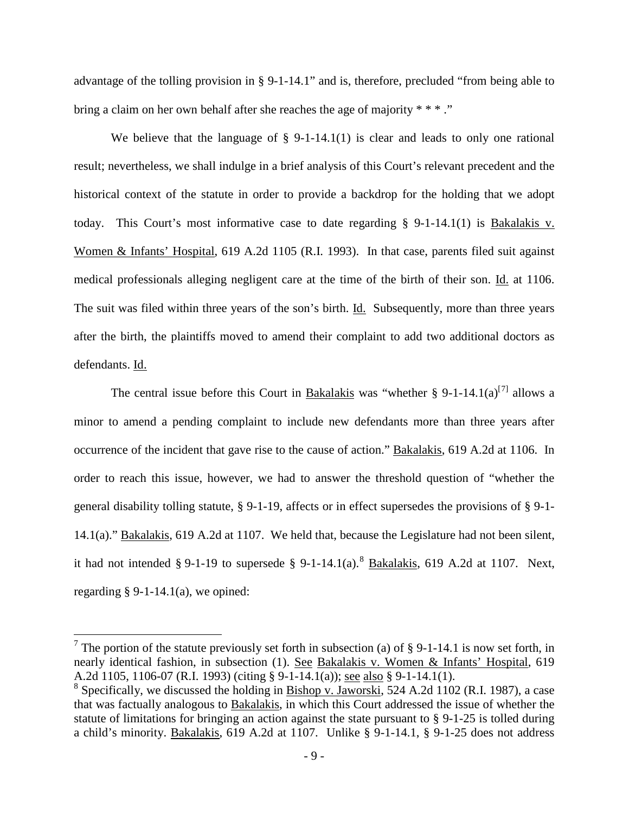advantage of the tolling provision in § 9-1-14.1" and is, therefore, precluded "from being able to bring a claim on her own behalf after she reaches the age of majority \* \* \*...

We believe that the language of  $\S$  9-1-14.1(1) is clear and leads to only one rational result; nevertheless, we shall indulge in a brief analysis of this Court's relevant precedent and the historical context of the statute in order to provide a backdrop for the holding that we adopt today. This Court's most informative case to date regarding § 9-1-14.1(1) is Bakalakis v. Women & Infants' Hospital, 619 A.2d 1105 (R.I. 1993). In that case, parents filed suit against medical professionals alleging negligent care at the time of the birth of their son. Id. at 1106. The suit was filed within three years of the son's birth. Id. Subsequently, more than three years after the birth, the plaintiffs moved to amend their complaint to add two additional doctors as defendants. Id.

The central issue before this Court in Bakalakis was "whether § 9-1-14.1(a)<sup>[[7](#page-10-0)]</sup> allows a minor to amend a pending complaint to include new defendants more than three years after occurrence of the incident that gave rise to the cause of action." Bakalakis, 619 A.2d at 1106. In order to reach this issue, however, we had to answer the threshold question of "whether the general disability tolling statute, § 9-1-19, affects or in effect supersedes the provisions of § 9-1- 14.1(a)." Bakalakis, 619 A.2d at 1107. We held that, because the Legislature had not been silent, it had not intended § 9-1-19 to supersede § 9-1-14.1(a).<sup>[8](#page-10-1)</sup> **Bakalakis**, 619 A.2d at 1107. Next, regarding  $\S$  9-1-14.1(a), we opined:

<span id="page-10-0"></span><sup>&</sup>lt;sup>7</sup> The portion of the statute previously set forth in subsection (a) of § 9-1-14.1 is now set forth, in nearly identical fashion, in subsection (1). See Bakalakis v. Women & Infants' Hospital, 619 A.2d 1105, 1106-07 (R.I. 1993) (citing § 9-1-14.1(a)); see also § 9-1-14.1(1).

<span id="page-10-1"></span><sup>&</sup>lt;sup>8</sup> Specifically, we discussed the holding in Bishop v. Jaworski, 524 A.2d 1102 (R.I. 1987), a case that was factually analogous to Bakalakis, in which this Court addressed the issue of whether the statute of limitations for bringing an action against the state pursuant to § 9-1-25 is tolled during a child's minority. Bakalakis, 619 A.2d at 1107. Unlike § 9-1-14.1, § 9-1-25 does not address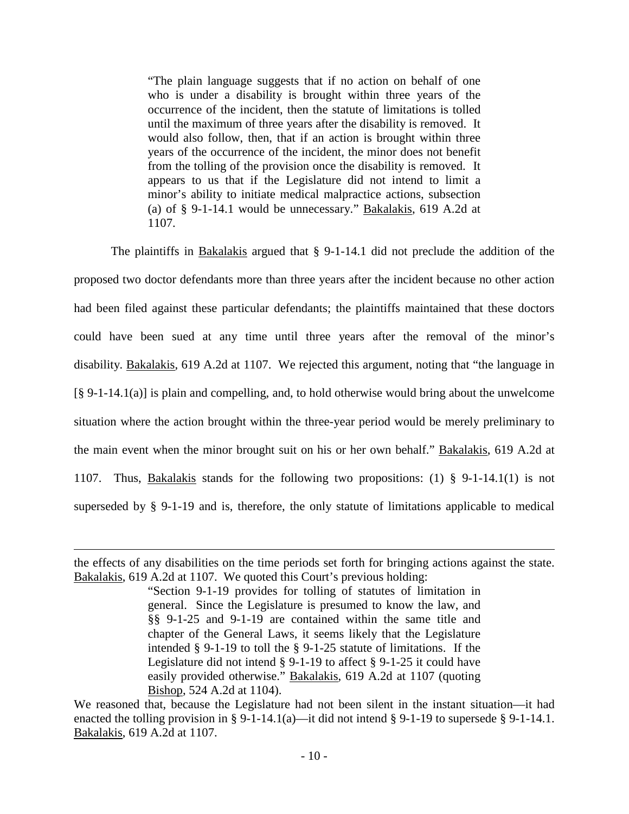"The plain language suggests that if no action on behalf of one who is under a disability is brought within three years of the occurrence of the incident, then the statute of limitations is tolled until the maximum of three years after the disability is removed. It would also follow, then, that if an action is brought within three years of the occurrence of the incident, the minor does not benefit from the tolling of the provision once the disability is removed. It appears to us that if the Legislature did not intend to limit a minor's ability to initiate medical malpractice actions, subsection (a) of § 9-1-14.1 would be unnecessary." Bakalakis, 619 A.2d at 1107.

The plaintiffs in Bakalakis argued that § 9-1-14.1 did not preclude the addition of the proposed two doctor defendants more than three years after the incident because no other action had been filed against these particular defendants; the plaintiffs maintained that these doctors could have been sued at any time until three years after the removal of the minor's disability. Bakalakis, 619 A.2d at 1107. We rejected this argument, noting that "the language in  $[\S 9-1-14.1(a)]$  is plain and compelling, and, to hold otherwise would bring about the unwelcome situation where the action brought within the three-year period would be merely preliminary to the main event when the minor brought suit on his or her own behalf." Bakalakis, 619 A.2d at 1107. Thus, Bakalakis stands for the following two propositions: (1) § 9-1-14.1(1) is not superseded by § 9-1-19 and is, therefore, the only statute of limitations applicable to medical

the effects of any disabilities on the time periods set forth for bringing actions against the state. Bakalakis, 619 A.2d at 1107. We quoted this Court's previous holding:

<sup>&</sup>quot;Section 9-1-19 provides for tolling of statutes of limitation in general. Since the Legislature is presumed to know the law, and §§ 9-1-25 and 9-1-19 are contained within the same title and chapter of the General Laws, it seems likely that the Legislature intended § 9-1-19 to toll the § 9-1-25 statute of limitations. If the Legislature did not intend § 9-1-19 to affect § 9-1-25 it could have easily provided otherwise." Bakalakis, 619 A.2d at 1107 (quoting Bishop, 524 A.2d at 1104).

We reasoned that, because the Legislature had not been silent in the instant situation—it had enacted the tolling provision in § 9-1-14.1(a)—it did not intend § 9-1-19 to supersede § 9-1-14.1. Bakalakis, 619 A.2d at 1107.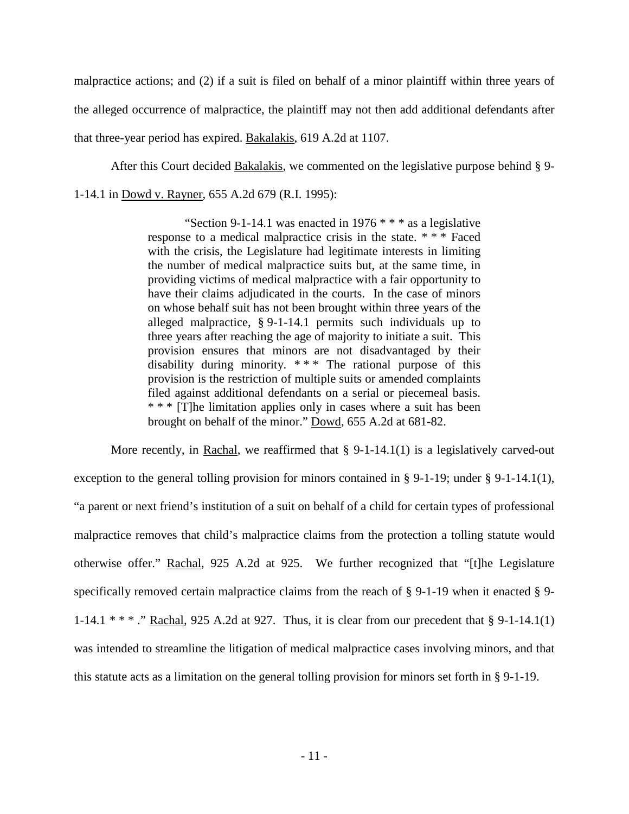malpractice actions; and (2) if a suit is filed on behalf of a minor plaintiff within three years of the alleged occurrence of malpractice, the plaintiff may not then add additional defendants after that three-year period has expired. Bakalakis, 619 A.2d at 1107.

After this Court decided Bakalakis, we commented on the legislative purpose behind § 9-

1-14.1 in Dowd v. Rayner, 655 A.2d 679 (R.I. 1995):

"Section 9-1-14.1 was enacted in 1976  $***$  as a legislative response to a medical malpractice crisis in the state. \* \* \* Faced with the crisis, the Legislature had legitimate interests in limiting the number of medical malpractice suits but, at the same time, in providing victims of medical malpractice with a fair opportunity to have their claims adjudicated in the courts. In the case of minors on whose behalf suit has not been brought within three years of the alleged malpractice, § 9-1-14.1 permits such individuals up to three years after reaching the age of majority to initiate a suit. This provision ensures that minors are not disadvantaged by their disability during minority. \* \* \* The rational purpose of this provision is the restriction of multiple suits or amended complaints filed against additional defendants on a serial or piecemeal basis. \* \* \* [T]he limitation applies only in cases where a suit has been brought on behalf of the minor." Dowd, 655 A.2d at 681-82.

More recently, in Rachal, we reaffirmed that  $\S$  9-1-14.1(1) is a legislatively carved-out exception to the general tolling provision for minors contained in § 9-1-19; under § 9-1-14.1(1), "a parent or next friend's institution of a suit on behalf of a child for certain types of professional malpractice removes that child's malpractice claims from the protection a tolling statute would otherwise offer." Rachal, 925 A.2d at 925. We further recognized that "[t]he Legislature specifically removed certain malpractice claims from the reach of § 9-1-19 when it enacted § 9- 1-14.1 \* \* \* ." Rachal, 925 A.2d at 927. Thus, it is clear from our precedent that § 9-1-14.1(1) was intended to streamline the litigation of medical malpractice cases involving minors, and that this statute acts as a limitation on the general tolling provision for minors set forth in § 9-1-19.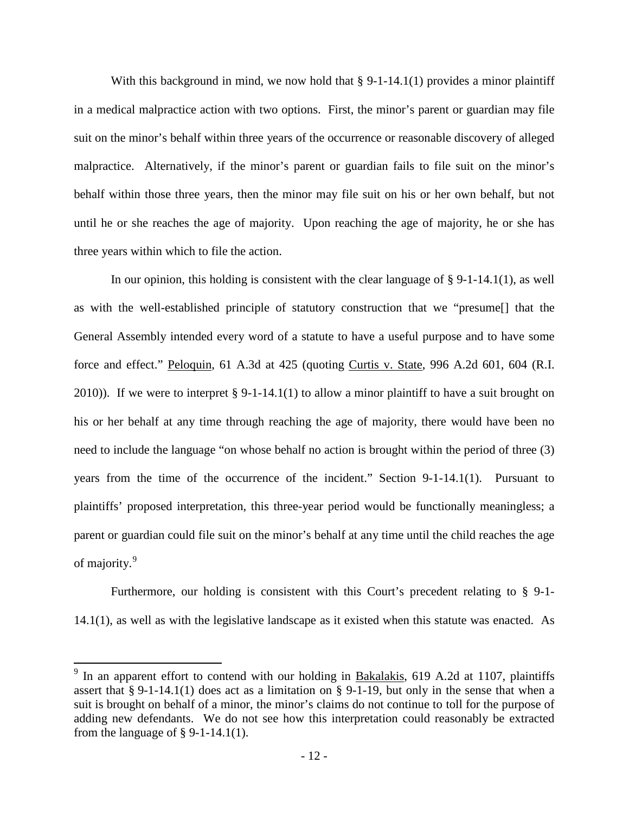With this background in mind, we now hold that  $\S 9$ -1-14.1(1) provides a minor plaintiff in a medical malpractice action with two options. First, the minor's parent or guardian may file suit on the minor's behalf within three years of the occurrence or reasonable discovery of alleged malpractice. Alternatively, if the minor's parent or guardian fails to file suit on the minor's behalf within those three years, then the minor may file suit on his or her own behalf, but not until he or she reaches the age of majority. Upon reaching the age of majority, he or she has three years within which to file the action.

In our opinion, this holding is consistent with the clear language of  $\S$  9-1-14.1(1), as well as with the well-established principle of statutory construction that we "presume[] that the General Assembly intended every word of a statute to have a useful purpose and to have some force and effect." Peloquin, 61 A.3d at 425 (quoting Curtis v. State, 996 A.2d 601, 604 (R.I. 2010)). If we were to interpret  $\S 9$ -1-14.1(1) to allow a minor plaintiff to have a suit brought on his or her behalf at any time through reaching the age of majority, there would have been no need to include the language "on whose behalf no action is brought within the period of three (3) years from the time of the occurrence of the incident." Section 9-1-14.1(1). Pursuant to plaintiffs' proposed interpretation, this three-year period would be functionally meaningless; a parent or guardian could file suit on the minor's behalf at any time until the child reaches the age of majority.<sup>[9](#page-13-0)</sup>

Furthermore, our holding is consistent with this Court's precedent relating to § 9-1- 14.1(1), as well as with the legislative landscape as it existed when this statute was enacted. As

<span id="page-13-0"></span> $9$  In an apparent effort to contend with our holding in **Bakalakis**, 619 A.2d at 1107, plaintiffs assert that § 9-1-14.1(1) does act as a limitation on § 9-1-19, but only in the sense that when a suit is brought on behalf of a minor, the minor's claims do not continue to toll for the purpose of adding new defendants. We do not see how this interpretation could reasonably be extracted from the language of  $\S$  9-1-14.1(1).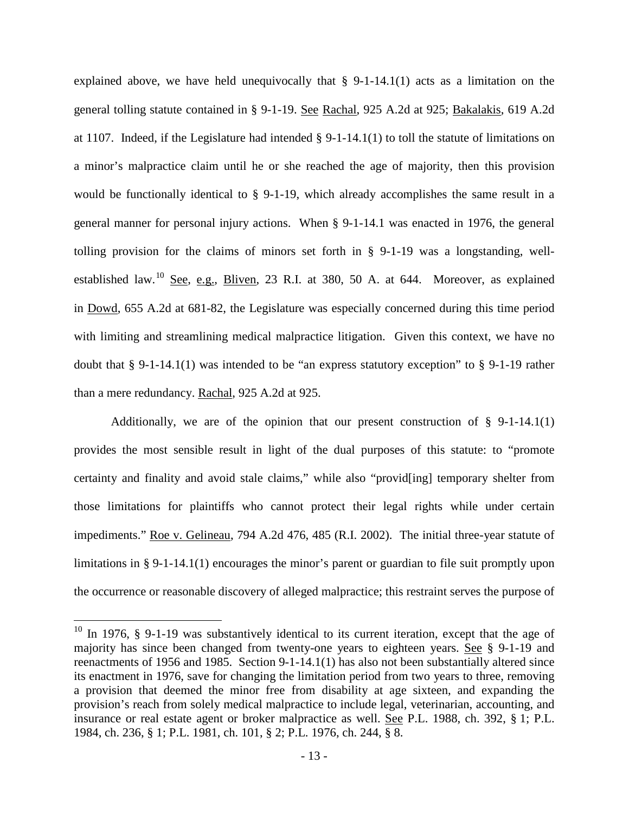explained above, we have held unequivocally that § 9-1-14.1(1) acts as a limitation on the general tolling statute contained in § 9-1-19. See Rachal, 925 A.2d at 925; Bakalakis, 619 A.2d at 1107. Indeed, if the Legislature had intended § 9-1-14.1(1) to toll the statute of limitations on a minor's malpractice claim until he or she reached the age of majority, then this provision would be functionally identical to § 9-1-19, which already accomplishes the same result in a general manner for personal injury actions. When § 9-1-14.1 was enacted in 1976, the general tolling provision for the claims of minors set forth in § 9-1-19 was a longstanding, wellestablished law.[10](#page-14-0) See, e.g., Bliven, 23 R.I. at 380, 50 A. at 644. Moreover, as explained in Dowd, 655 A.2d at 681-82, the Legislature was especially concerned during this time period with limiting and streamlining medical malpractice litigation. Given this context, we have no doubt that § 9-1-14.1(1) was intended to be "an express statutory exception" to § 9-1-19 rather than a mere redundancy. Rachal, 925 A.2d at 925.

Additionally, we are of the opinion that our present construction of § 9-1-14.1(1) provides the most sensible result in light of the dual purposes of this statute: to "promote certainty and finality and avoid stale claims," while also "provid[ing] temporary shelter from those limitations for plaintiffs who cannot protect their legal rights while under certain impediments." Roe v. Gelineau, 794 A.2d 476, 485 (R.I. 2002). The initial three-year statute of limitations in § 9-1-14.1(1) encourages the minor's parent or guardian to file suit promptly upon the occurrence or reasonable discovery of alleged malpractice; this restraint serves the purpose of

<span id="page-14-0"></span> $10$  In 1976, § 9-1-19 was substantively identical to its current iteration, except that the age of majority has since been changed from twenty-one years to eighteen years. See § 9-1-19 and reenactments of 1956 and 1985. Section 9-1-14.1(1) has also not been substantially altered since its enactment in 1976, save for changing the limitation period from two years to three, removing a provision that deemed the minor free from disability at age sixteen, and expanding the provision's reach from solely medical malpractice to include legal, veterinarian, accounting, and insurance or real estate agent or broker malpractice as well. See P.L. 1988, ch. 392, § 1; P.L. 1984, ch. 236, § 1; P.L. 1981, ch. 101, § 2; P.L. 1976, ch. 244, § 8.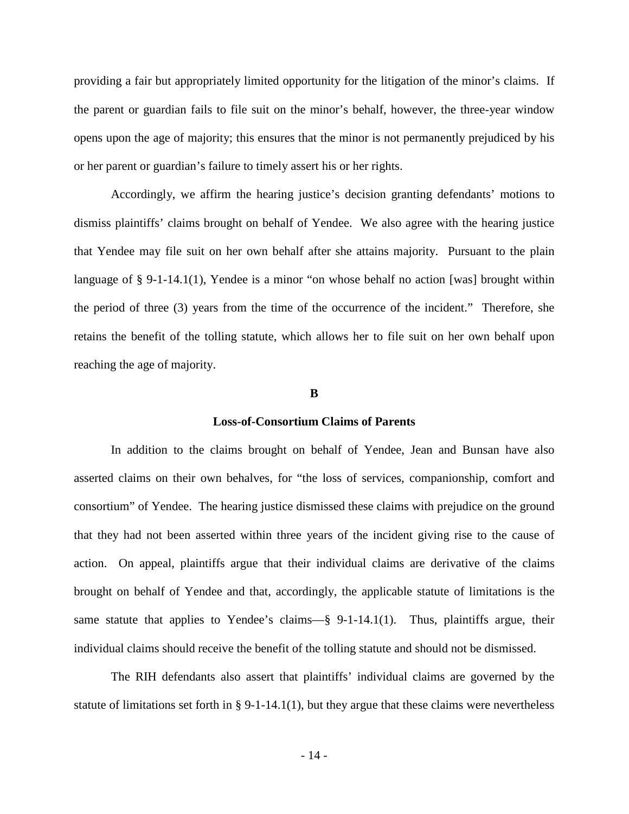providing a fair but appropriately limited opportunity for the litigation of the minor's claims. If the parent or guardian fails to file suit on the minor's behalf, however, the three-year window opens upon the age of majority; this ensures that the minor is not permanently prejudiced by his or her parent or guardian's failure to timely assert his or her rights.

Accordingly, we affirm the hearing justice's decision granting defendants' motions to dismiss plaintiffs' claims brought on behalf of Yendee. We also agree with the hearing justice that Yendee may file suit on her own behalf after she attains majority. Pursuant to the plain language of § 9-1-14.1(1), Yendee is a minor "on whose behalf no action [was] brought within the period of three (3) years from the time of the occurrence of the incident." Therefore, she retains the benefit of the tolling statute, which allows her to file suit on her own behalf upon reaching the age of majority.

#### **B**

#### **Loss-of-Consortium Claims of Parents**

In addition to the claims brought on behalf of Yendee, Jean and Bunsan have also asserted claims on their own behalves, for "the loss of services, companionship, comfort and consortium" of Yendee. The hearing justice dismissed these claims with prejudice on the ground that they had not been asserted within three years of the incident giving rise to the cause of action. On appeal, plaintiffs argue that their individual claims are derivative of the claims brought on behalf of Yendee and that, accordingly, the applicable statute of limitations is the same statute that applies to Yendee's claims—§ 9-1-14.1(1). Thus, plaintiffs argue, their individual claims should receive the benefit of the tolling statute and should not be dismissed.

The RIH defendants also assert that plaintiffs' individual claims are governed by the statute of limitations set forth in § 9-1-14.1(1), but they argue that these claims were nevertheless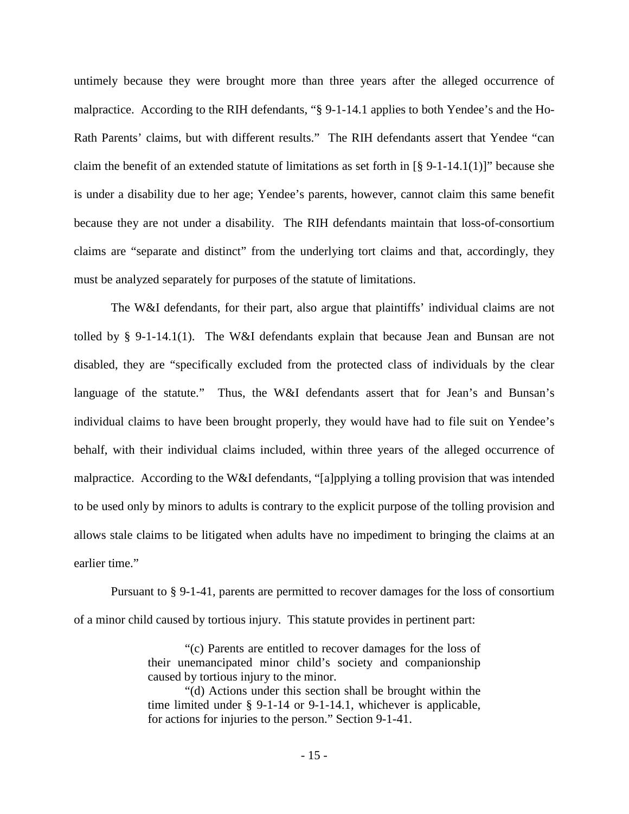untimely because they were brought more than three years after the alleged occurrence of malpractice. According to the RIH defendants, "§ 9-1-14.1 applies to both Yendee's and the Ho-Rath Parents' claims, but with different results." The RIH defendants assert that Yendee "can claim the benefit of an extended statute of limitations as set forth in  $\lbrack 8 \rbrack 9$ -1-14.1(1)]" because she is under a disability due to her age; Yendee's parents, however, cannot claim this same benefit because they are not under a disability. The RIH defendants maintain that loss-of-consortium claims are "separate and distinct" from the underlying tort claims and that, accordingly, they must be analyzed separately for purposes of the statute of limitations.

The W&I defendants, for their part, also argue that plaintiffs' individual claims are not tolled by § 9-1-14.1(1). The W&I defendants explain that because Jean and Bunsan are not disabled, they are "specifically excluded from the protected class of individuals by the clear language of the statute." Thus, the W&I defendants assert that for Jean's and Bunsan's individual claims to have been brought properly, they would have had to file suit on Yendee's behalf, with their individual claims included, within three years of the alleged occurrence of malpractice. According to the W&I defendants, "[a]pplying a tolling provision that was intended to be used only by minors to adults is contrary to the explicit purpose of the tolling provision and allows stale claims to be litigated when adults have no impediment to bringing the claims at an earlier time."

Pursuant to § 9-1-41, parents are permitted to recover damages for the loss of consortium of a minor child caused by tortious injury. This statute provides in pertinent part:

> "(c) Parents are entitled to recover damages for the loss of their unemancipated minor child's society and companionship caused by tortious injury to the minor.

> "(d) Actions under this section shall be brought within the time limited under § 9-1-14 or 9-1-14.1, whichever is applicable, for actions for injuries to the person." Section 9-1-41.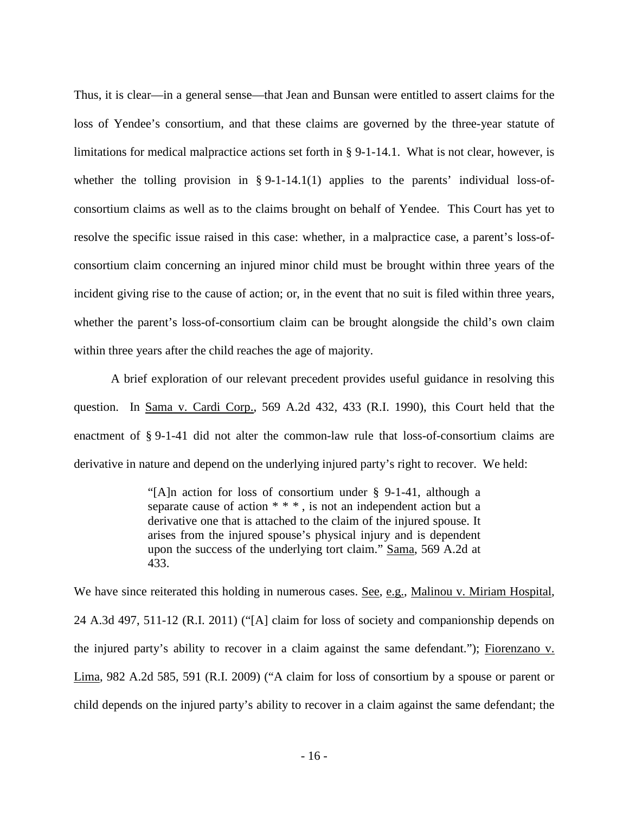Thus, it is clear—in a general sense—that Jean and Bunsan were entitled to assert claims for the loss of Yendee's consortium, and that these claims are governed by the three-year statute of limitations for medical malpractice actions set forth in § 9-1-14.1. What is not clear, however, is whether the tolling provision in § 9-1-14.1(1) applies to the parents' individual loss-ofconsortium claims as well as to the claims brought on behalf of Yendee. This Court has yet to resolve the specific issue raised in this case: whether, in a malpractice case, a parent's loss-ofconsortium claim concerning an injured minor child must be brought within three years of the incident giving rise to the cause of action; or, in the event that no suit is filed within three years, whether the parent's loss-of-consortium claim can be brought alongside the child's own claim within three years after the child reaches the age of majority.

A brief exploration of our relevant precedent provides useful guidance in resolving this question. In Sama v. Cardi Corp., 569 A.2d 432, 433 (R.I. 1990), this Court held that the enactment of § 9-1-41 did not alter the common-law rule that loss-of-consortium claims are derivative in nature and depend on the underlying injured party's right to recover. We held:

> "[A]n action for loss of consortium under § 9-1-41, although a separate cause of action  $***$ , is not an independent action but a derivative one that is attached to the claim of the injured spouse. It arises from the injured spouse's physical injury and is dependent upon the success of the underlying tort claim." Sama, 569 A.2d at 433.

We have since reiterated this holding in numerous cases. <u>See, e.g.</u>, Malinou v. Miriam Hospital, 24 A.3d 497, 511-12 (R.I. 2011) ("[A] claim for loss of society and companionship depends on the injured party's ability to recover in a claim against the same defendant."); Fiorenzano v. Lima, 982 A.2d 585, 591 (R.I. 2009) ("A claim for loss of consortium by a spouse or parent or child depends on the injured party's ability to recover in a claim against the same defendant; the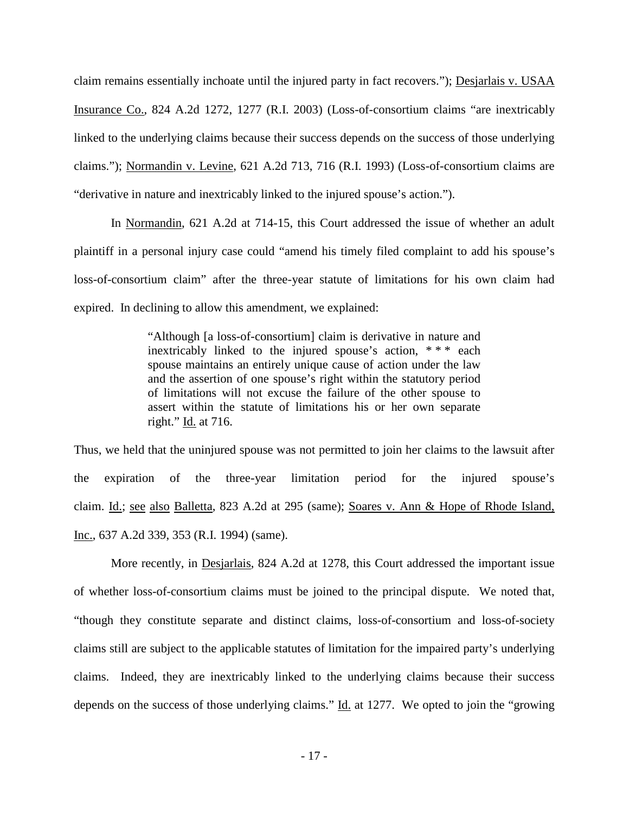claim remains essentially inchoate until the injured party in fact recovers."); Desjarlais v. USAA Insurance Co., 824 A.2d 1272, 1277 (R.I. 2003) (Loss-of-consortium claims "are inextricably linked to the underlying claims because their success depends on the success of those underlying claims."); Normandin v. Levine, 621 A.2d 713, 716 (R.I. 1993) (Loss-of-consortium claims are "derivative in nature and inextricably linked to the injured spouse's action.").

In Normandin, 621 A.2d at 714-15, this Court addressed the issue of whether an adult plaintiff in a personal injury case could "amend his timely filed complaint to add his spouse's loss-of-consortium claim" after the three-year statute of limitations for his own claim had expired. In declining to allow this amendment, we explained:

> "Although [a loss-of-consortium] claim is derivative in nature and inextricably linked to the injured spouse's action, \* \* \* each spouse maintains an entirely unique cause of action under the law and the assertion of one spouse's right within the statutory period of limitations will not excuse the failure of the other spouse to assert within the statute of limitations his or her own separate right." Id. at 716.

Thus, we held that the uninjured spouse was not permitted to join her claims to the lawsuit after the expiration of the three-year limitation period for the injured spouse's claim. Id.; see also Balletta, 823 A.2d at 295 (same); Soares v. Ann & Hope of Rhode Island, Inc., 637 A.2d 339, 353 (R.I. 1994) (same).

More recently, in Desjarlais, 824 A.2d at 1278, this Court addressed the important issue of whether loss-of-consortium claims must be joined to the principal dispute. We noted that, "though they constitute separate and distinct claims, loss-of-consortium and loss-of-society claims still are subject to the applicable statutes of limitation for the impaired party's underlying claims. Indeed, they are inextricably linked to the underlying claims because their success depends on the success of those underlying claims." Id. at 1277. We opted to join the "growing"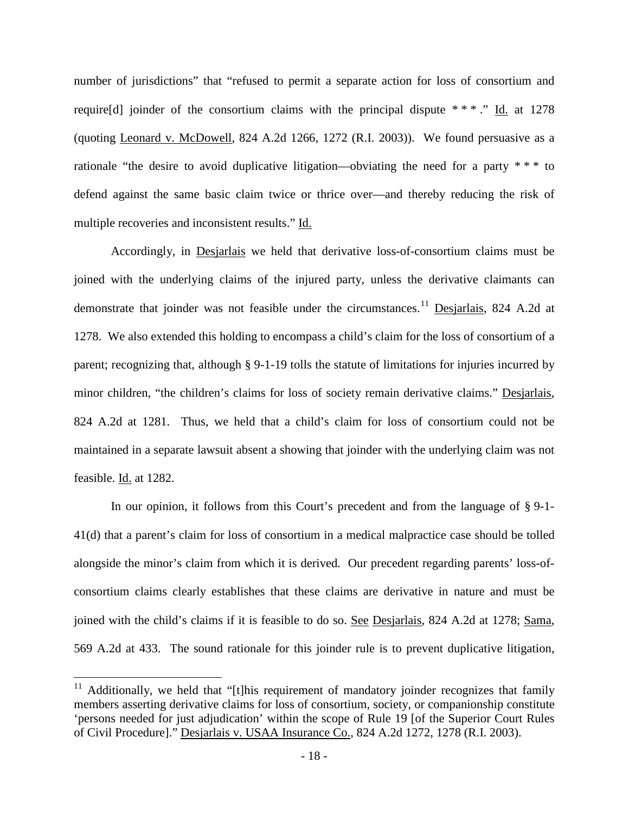number of jurisdictions" that "refused to permit a separate action for loss of consortium and require [d] joinder of the consortium claims with the principal dispute  $***$ ." Id. at 1278 (quoting Leonard v. McDowell, 824 A.2d 1266, 1272 (R.I. 2003)). We found persuasive as a rationale "the desire to avoid duplicative litigation—obviating the need for a party \* \* \* to defend against the same basic claim twice or thrice over—and thereby reducing the risk of multiple recoveries and inconsistent results." Id.

Accordingly, in Desjarlais we held that derivative loss-of-consortium claims must be joined with the underlying claims of the injured party, unless the derivative claimants can demonstrate that joinder was not feasible under the circumstances.<sup>[11](#page-19-0)</sup> Desjarlais, 824 A.2d at 1278. We also extended this holding to encompass a child's claim for the loss of consortium of a parent; recognizing that, although § 9-1-19 tolls the statute of limitations for injuries incurred by minor children, "the children's claims for loss of society remain derivative claims." Desjarlais, 824 A.2d at 1281. Thus, we held that a child's claim for loss of consortium could not be maintained in a separate lawsuit absent a showing that joinder with the underlying claim was not feasible. Id. at 1282.

In our opinion, it follows from this Court's precedent and from the language of § 9-1- 41(d) that a parent's claim for loss of consortium in a medical malpractice case should be tolled alongside the minor's claim from which it is derived. Our precedent regarding parents' loss-ofconsortium claims clearly establishes that these claims are derivative in nature and must be joined with the child's claims if it is feasible to do so. See Desjarlais, 824 A.2d at 1278; Sama, 569 A.2d at 433. The sound rationale for this joinder rule is to prevent duplicative litigation,

<span id="page-19-0"></span> $11$  Additionally, we held that "[t]his requirement of mandatory joinder recognizes that family members asserting derivative claims for loss of consortium, society, or companionship constitute 'persons needed for just adjudication' within the scope of Rule 19 [of the Superior Court Rules of Civil Procedure]." Desjarlais v. USAA Insurance Co., 824 A.2d 1272, 1278 (R.I. 2003).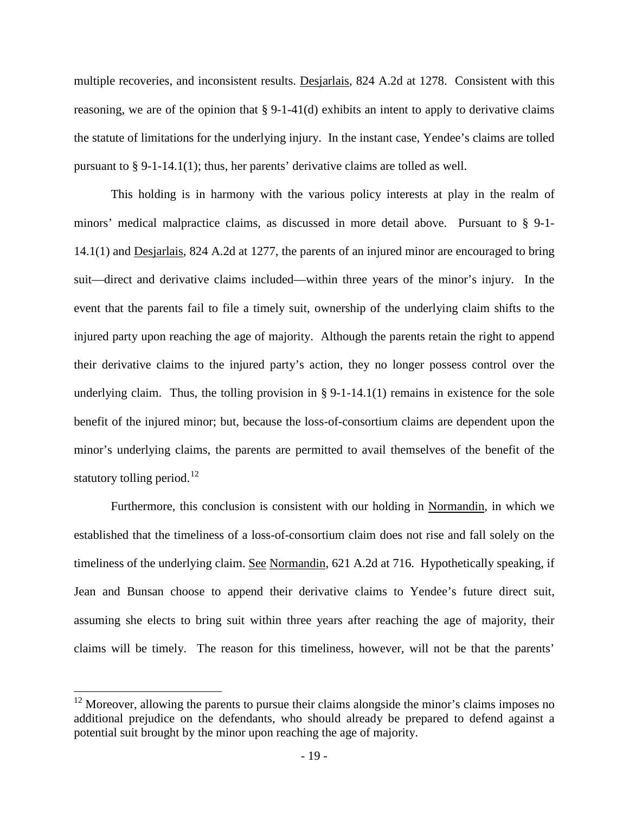multiple recoveries, and inconsistent results. Desjarlais, 824 A.2d at 1278. Consistent with this reasoning, we are of the opinion that § 9-1-41(d) exhibits an intent to apply to derivative claims the statute of limitations for the underlying injury. In the instant case, Yendee's claims are tolled pursuant to  $\S 9-1-14.1(1)$ ; thus, her parents' derivative claims are tolled as well.

This holding is in harmony with the various policy interests at play in the realm of minors' medical malpractice claims, as discussed in more detail above. Pursuant to § 9-1- 14.1(1) and Desjarlais, 824 A.2d at 1277, the parents of an injured minor are encouraged to bring suit—direct and derivative claims included—within three years of the minor's injury. In the event that the parents fail to file a timely suit, ownership of the underlying claim shifts to the injured party upon reaching the age of majority. Although the parents retain the right to append their derivative claims to the injured party's action, they no longer possess control over the underlying claim. Thus, the tolling provision in  $\S 9$ -1-14.1(1) remains in existence for the sole benefit of the injured minor; but, because the loss-of-consortium claims are dependent upon the minor's underlying claims, the parents are permitted to avail themselves of the benefit of the statutory tolling period.<sup>[12](#page-20-0)</sup>

Furthermore, this conclusion is consistent with our holding in Normandin, in which we established that the timeliness of a loss-of-consortium claim does not rise and fall solely on the timeliness of the underlying claim. See Normandin, 621 A.2d at 716. Hypothetically speaking, if Jean and Bunsan choose to append their derivative claims to Yendee's future direct suit, assuming she elects to bring suit within three years after reaching the age of majority, their claims will be timely. The reason for this timeliness, however, will not be that the parents'

<span id="page-20-0"></span> $12$  Moreover, allowing the parents to pursue their claims alongside the minor's claims imposes no additional prejudice on the defendants, who should already be prepared to defend against a potential suit brought by the minor upon reaching the age of majority.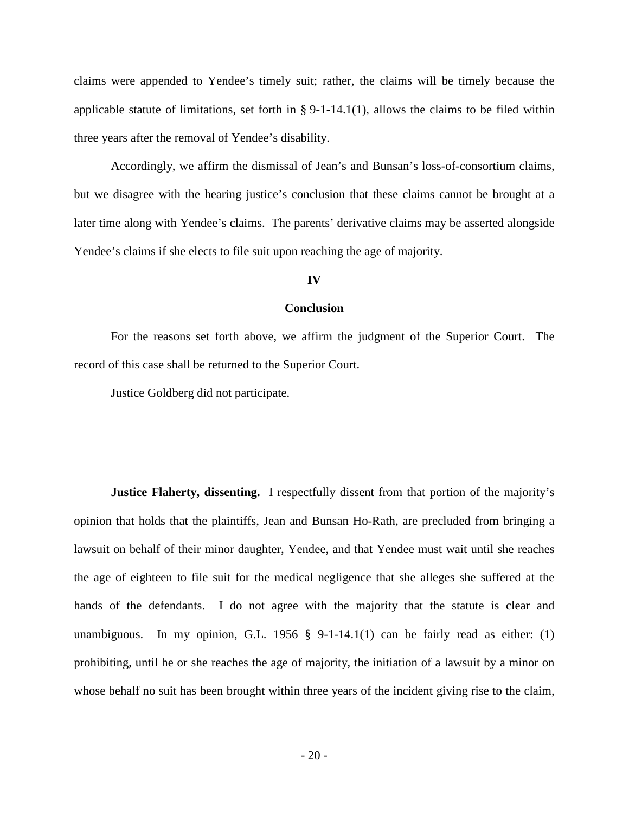claims were appended to Yendee's timely suit; rather, the claims will be timely because the applicable statute of limitations, set forth in  $\S 9$ -1-14.1(1), allows the claims to be filed within three years after the removal of Yendee's disability.

Accordingly, we affirm the dismissal of Jean's and Bunsan's loss-of-consortium claims, but we disagree with the hearing justice's conclusion that these claims cannot be brought at a later time along with Yendee's claims. The parents' derivative claims may be asserted alongside Yendee's claims if she elects to file suit upon reaching the age of majority.

#### **IV**

#### **Conclusion**

For the reasons set forth above, we affirm the judgment of the Superior Court. The record of this case shall be returned to the Superior Court.

Justice Goldberg did not participate.

**Justice Flaherty, dissenting.** I respectfully dissent from that portion of the majority's opinion that holds that the plaintiffs, Jean and Bunsan Ho-Rath, are precluded from bringing a lawsuit on behalf of their minor daughter, Yendee, and that Yendee must wait until she reaches the age of eighteen to file suit for the medical negligence that she alleges she suffered at the hands of the defendants. I do not agree with the majority that the statute is clear and unambiguous. In my opinion, G.L. 1956  $\S$  9-1-14.1(1) can be fairly read as either: (1) prohibiting, until he or she reaches the age of majority, the initiation of a lawsuit by a minor on whose behalf no suit has been brought within three years of the incident giving rise to the claim,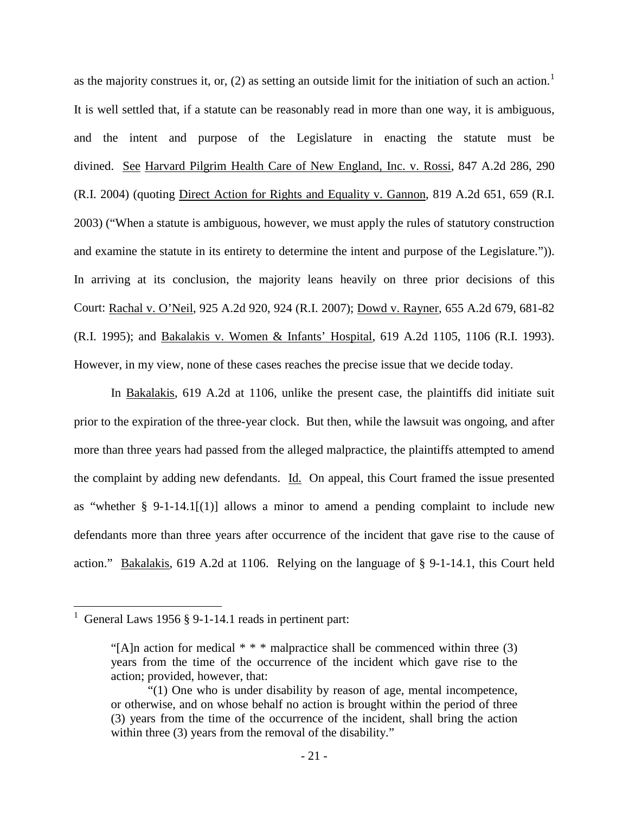as the majority construes it, or, (2) as setting an outside limit for the initiation of such an action.<sup>[1](#page-22-0)</sup> It is well settled that, if a statute can be reasonably read in more than one way, it is ambiguous, and the intent and purpose of the Legislature in enacting the statute must be divined. See Harvard Pilgrim Health Care of New England, Inc. v. Rossi, 847 A.2d 286, 290 (R.I. 2004) (quoting Direct Action for Rights and Equality v. Gannon, 819 A.2d 651, 659 (R.I. 2003) ("When a statute is ambiguous, however, we must apply the rules of statutory construction and examine the statute in its entirety to determine the intent and purpose of the Legislature.")). In arriving at its conclusion, the majority leans heavily on three prior decisions of this Court: Rachal v. O'Neil, 925 A.2d 920, 924 (R.I. 2007); Dowd v. Rayner, 655 A.2d 679, 681-82 (R.I. 1995); and Bakalakis v. Women & Infants' Hospital, 619 A.2d 1105, 1106 (R.I. 1993). However, in my view, none of these cases reaches the precise issue that we decide today.

In Bakalakis, 619 A.2d at 1106, unlike the present case, the plaintiffs did initiate suit prior to the expiration of the three-year clock. But then, while the lawsuit was ongoing, and after more than three years had passed from the alleged malpractice, the plaintiffs attempted to amend the complaint by adding new defendants. Id. On appeal, this Court framed the issue presented as "whether  $\S$  9-1-14.1[(1)] allows a minor to amend a pending complaint to include new defendants more than three years after occurrence of the incident that gave rise to the cause of action." Bakalakis, 619 A.2d at 1106. Relying on the language of § 9-1-14.1, this Court held

<span id="page-22-0"></span><sup>1</sup> General Laws 1956 § 9-1-14.1 reads in pertinent part:

<sup>&</sup>quot;[A]n action for medical  $***$  malpractice shall be commenced within three (3) years from the time of the occurrence of the incident which gave rise to the action; provided, however, that:

<sup>&</sup>quot;(1) One who is under disability by reason of age, mental incompetence, or otherwise, and on whose behalf no action is brought within the period of three (3) years from the time of the occurrence of the incident, shall bring the action within three (3) years from the removal of the disability."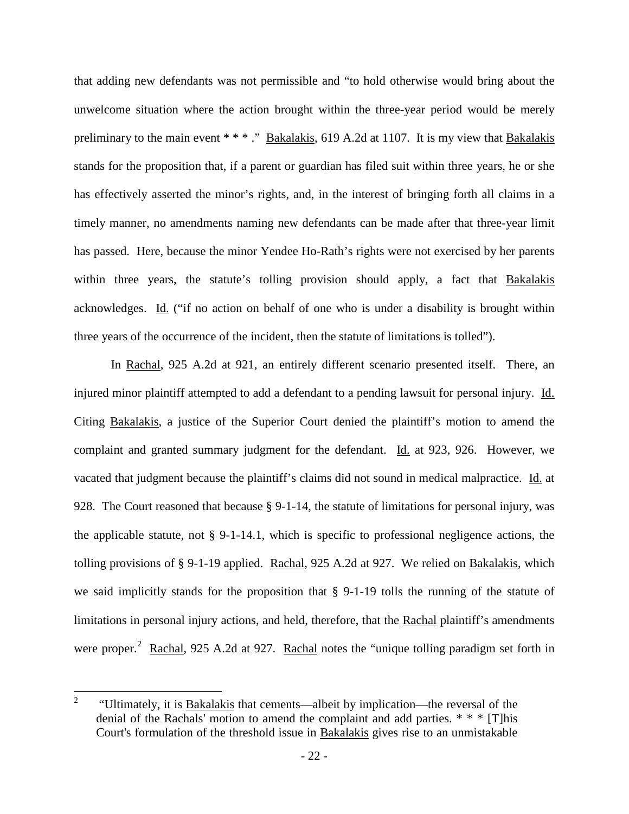that adding new defendants was not permissible and "to hold otherwise would bring about the unwelcome situation where the action brought within the three-year period would be merely preliminary to the main event \* \* \* ." Bakalakis, 619 A.2d at 1107. It is my view that Bakalakis stands for the proposition that, if a parent or guardian has filed suit within three years, he or she has effectively asserted the minor's rights, and, in the interest of bringing forth all claims in a timely manner, no amendments naming new defendants can be made after that three-year limit has passed. Here, because the minor Yendee Ho-Rath's rights were not exercised by her parents within three years, the statute's tolling provision should apply, a fact that Bakalakis acknowledges. Id. ("if no action on behalf of one who is under a disability is brought within three years of the occurrence of the incident, then the statute of limitations is tolled").

In Rachal, 925 A.2d at 921, an entirely different scenario presented itself. There, an injured minor plaintiff attempted to add a defendant to a pending lawsuit for personal injury. Id. Citing Bakalakis, a justice of the Superior Court denied the plaintiff's motion to amend the complaint and granted summary judgment for the defendant. Id. at 923, 926. However, we vacated that judgment because the plaintiff's claims did not sound in medical malpractice. Id. at 928. The Court reasoned that because § 9-1-14, the statute of limitations for personal injury, was the applicable statute, not § 9-1-14.1, which is specific to professional negligence actions, the tolling provisions of § 9-1-19 applied. Rachal, 925 A.2d at 927. We relied on Bakalakis, which we said implicitly stands for the proposition that § 9-1-19 tolls the running of the statute of limitations in personal injury actions, and held, therefore, that the Rachal plaintiff's amendments were proper.<sup>[2](#page-23-0)</sup> Rachal, 925 A.2d at 927. Rachal notes the "unique tolling paradigm set forth in

<span id="page-23-0"></span><sup>2 &</sup>quot;Ultimately, it is Bakalakis that cements—albeit by implication—the reversal of the denial of the Rachals' motion to amend the complaint and add parties. \* \* \* [T]his Court's formulation of the threshold issue in Bakalakis gives rise to an unmistakable  $\overline{2}$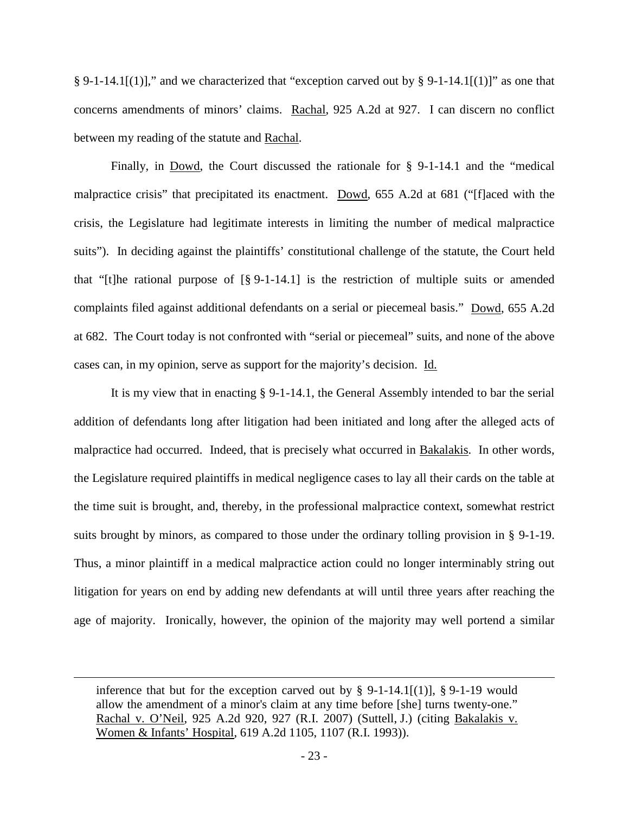§ 9-1-14.1[(1)]," and we characterized that "exception carved out by § 9-1-14.1[(1)]" as one that concerns amendments of minors' claims. Rachal, 925 A.2d at 927. I can discern no conflict between my reading of the statute and Rachal.

Finally, in Dowd, the Court discussed the rationale for § 9-1-14.1 and the "medical malpractice crisis" that precipitated its enactment. Dowd, 655 A.2d at 681 ("[f]aced with the crisis, the Legislature had legitimate interests in limiting the number of medical malpractice suits"). In deciding against the plaintiffs' constitutional challenge of the statute, the Court held that "[t]he rational purpose of [§ 9-1-14.1] is the restriction of multiple suits or amended complaints filed against additional defendants on a serial or piecemeal basis." Dowd, 655 A.2d at 682. The Court today is not confronted with "serial or piecemeal" suits, and none of the above cases can, in my opinion, serve as support for the majority's decision. Id.

It is my view that in enacting § 9-1-14.1, the General Assembly intended to bar the serial addition of defendants long after litigation had been initiated and long after the alleged acts of malpractice had occurred. Indeed, that is precisely what occurred in Bakalakis. In other words, the Legislature required plaintiffs in medical negligence cases to lay all their cards on the table at the time suit is brought, and, thereby, in the professional malpractice context, somewhat restrict suits brought by minors, as compared to those under the ordinary tolling provision in § 9-1-19. Thus, a minor plaintiff in a medical malpractice action could no longer interminably string out litigation for years on end by adding new defendants at will until three years after reaching the age of majority. Ironically, however, the opinion of the majority may well portend a similar

inference that but for the exception carved out by  $\S$  9-1-14.1[(1)],  $\S$  9-1-19 would allow the amendment of a minor's claim at any time before [she] turns twenty-one." Rachal v. O'Neil, 925 A.2d 920, 927 (R.I. 2007) (Suttell, J.) (citing Bakalakis v. Women & Infants' Hospital, 619 A.2d 1105, 1107 (R.I. 1993)).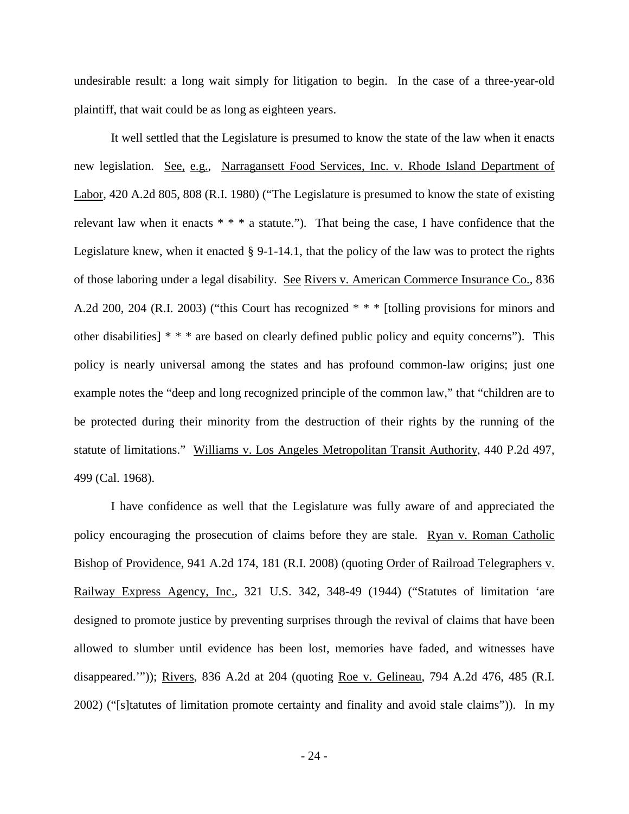undesirable result: a long wait simply for litigation to begin. In the case of a three-year-old plaintiff, that wait could be as long as eighteen years.

It well settled that the Legislature is presumed to know the state of the law when it enacts new legislation. See, e.g., Narragansett Food Services, Inc. v. Rhode Island Department of Labor, 420 A.2d 805, 808 (R.I. 1980) ("The Legislature is presumed to know the state of existing relevant law when it enacts  $* * * a$  statute."). That being the case, I have confidence that the Legislature knew, when it enacted § 9-1-14.1, that the policy of the law was to protect the rights of those laboring under a legal disability. See Rivers v. American Commerce Insurance Co., 836 A.2d 200, 204 (R.I. 2003) ("this Court has recognized \* \* \* [tolling provisions for minors and other disabilities] \* \* \* are based on clearly defined public policy and equity concerns"). This policy is nearly universal among the states and has profound common-law origins; just one example notes the "deep and long recognized principle of the common law," that "children are to be protected during their minority from the destruction of their rights by the running of the statute of limitations." Williams v. Los Angeles Metropolitan Transit Authority, 440 P.2d 497, 499 (Cal. 1968).

I have confidence as well that the Legislature was fully aware of and appreciated the policy encouraging the prosecution of claims before they are stale. Ryan v. Roman Catholic Bishop of Providence, 941 A.2d 174, 181 (R.I. 2008) (quoting Order of Railroad Telegraphers v. Railway Express Agency, Inc., 321 U.S. 342, 348-49 (1944) ("Statutes of limitation 'are designed to promote justice by preventing surprises through the revival of claims that have been allowed to slumber until evidence has been lost, memories have faded, and witnesses have disappeared.'")); Rivers, 836 A.2d at 204 (quoting Roe v. Gelineau, 794 A.2d 476, 485 (R.I. 2002) ("[s]tatutes of limitation promote certainty and finality and avoid stale claims")). In my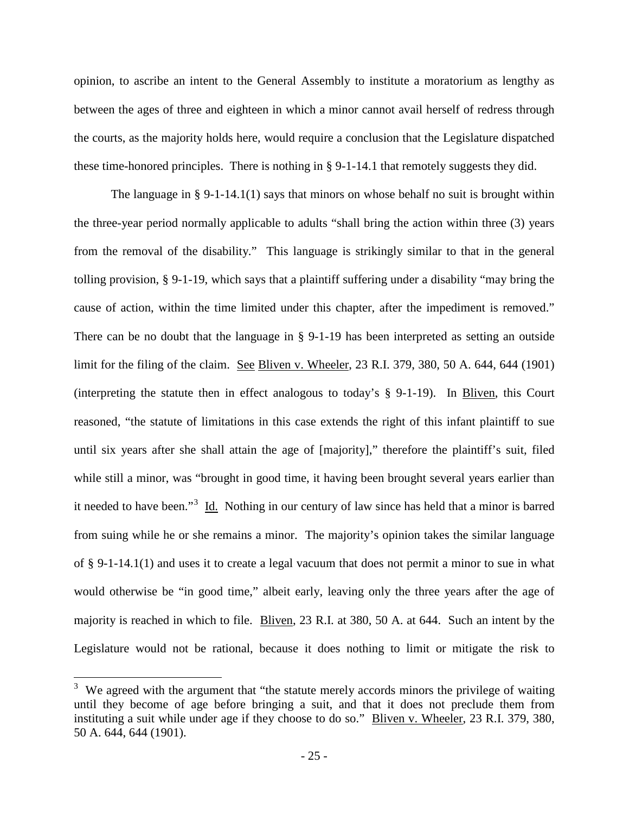opinion, to ascribe an intent to the General Assembly to institute a moratorium as lengthy as between the ages of three and eighteen in which a minor cannot avail herself of redress through the courts, as the majority holds here, would require a conclusion that the Legislature dispatched these time-honored principles. There is nothing in  $\S$  9-1-14.1 that remotely suggests they did.

The language in § 9-1-14.1(1) says that minors on whose behalf no suit is brought within the three-year period normally applicable to adults "shall bring the action within three (3) years from the removal of the disability." This language is strikingly similar to that in the general tolling provision, § 9-1-19, which says that a plaintiff suffering under a disability "may bring the cause of action, within the time limited under this chapter, after the impediment is removed." There can be no doubt that the language in § 9-1-19 has been interpreted as setting an outside limit for the filing of the claim. See Bliven v. Wheeler, 23 R.I. 379, 380, 50 A. 644, 644 (1901) (interpreting the statute then in effect analogous to today's § 9-1-19). In Bliven, this Court reasoned, "the statute of limitations in this case extends the right of this infant plaintiff to sue until six years after she shall attain the age of [majority]," therefore the plaintiff's suit, filed while still a minor, was "brought in good time, it having been brought several years earlier than it needed to have been."<sup>[3](#page-26-0)</sup> Id. Nothing in our century of law since has held that a minor is barred from suing while he or she remains a minor. The majority's opinion takes the similar language of § 9-1-14.1(1) and uses it to create a legal vacuum that does not permit a minor to sue in what would otherwise be "in good time," albeit early, leaving only the three years after the age of majority is reached in which to file. Bliven, 23 R.I. at 380, 50 A. at 644. Such an intent by the Legislature would not be rational, because it does nothing to limit or mitigate the risk to

<span id="page-26-0"></span> $3\,$  We agreed with the argument that "the statute merely accords minors the privilege of waiting until they become of age before bringing a suit, and that it does not preclude them from instituting a suit while under age if they choose to do so." Bliven v. Wheeler, 23 R.I. 379, 380, 50 A. 644, 644 (1901).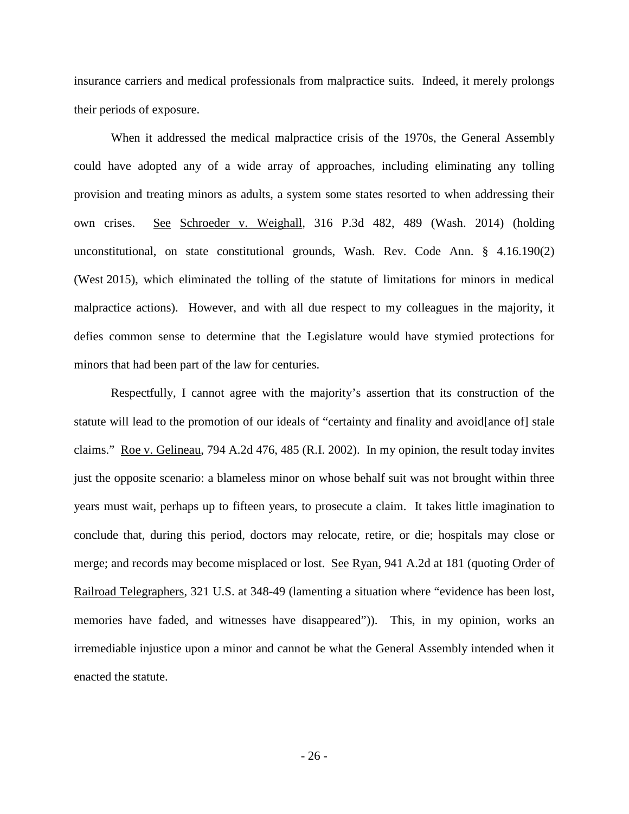insurance carriers and medical professionals from malpractice suits. Indeed, it merely prolongs their periods of exposure.

When it addressed the medical malpractice crisis of the 1970s, the General Assembly could have adopted any of a wide array of approaches, including eliminating any tolling provision and treating minors as adults, a system some states resorted to when addressing their own crises. See Schroeder v. Weighall, 316 P.3d 482, 489 (Wash. 2014) (holding unconstitutional, on state constitutional grounds, Wash. Rev. Code Ann. § 4.16.190(2) (West 2015), which eliminated the tolling of the statute of limitations for minors in medical malpractice actions). However, and with all due respect to my colleagues in the majority, it defies common sense to determine that the Legislature would have stymied protections for minors that had been part of the law for centuries.

Respectfully, I cannot agree with the majority's assertion that its construction of the statute will lead to the promotion of our ideals of "certainty and finality and avoid[ance of] stale claims." Roe v. Gelineau, 794 A.2d 476, 485 (R.I. 2002). In my opinion, the result today invites just the opposite scenario: a blameless minor on whose behalf suit was not brought within three years must wait, perhaps up to fifteen years, to prosecute a claim. It takes little imagination to conclude that, during this period, doctors may relocate, retire, or die; hospitals may close or merge; and records may become misplaced or lost. See Ryan, 941 A.2d at 181 (quoting Order of Railroad Telegraphers, 321 U.S. at 348-49 (lamenting a situation where "evidence has been lost, memories have faded, and witnesses have disappeared")). This, in my opinion, works an irremediable injustice upon a minor and cannot be what the General Assembly intended when it enacted the statute.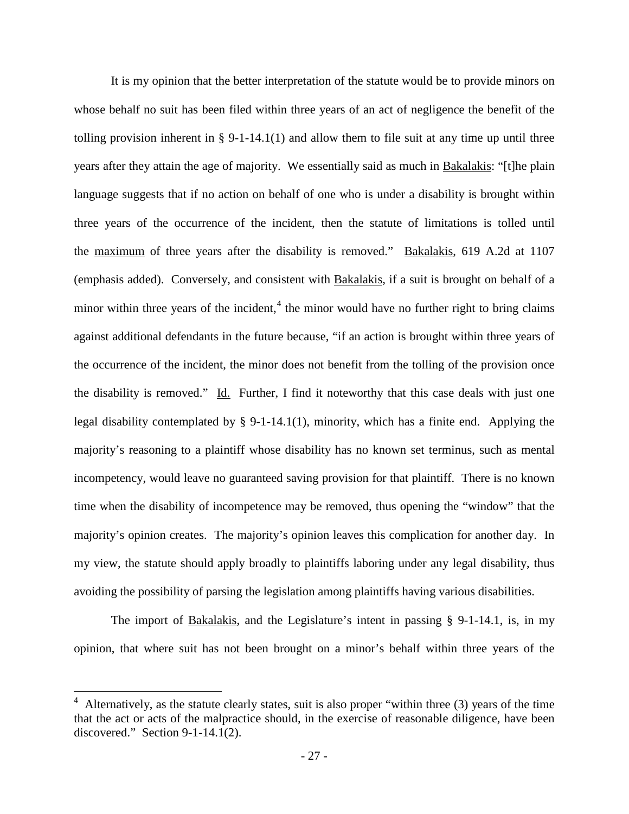It is my opinion that the better interpretation of the statute would be to provide minors on whose behalf no suit has been filed within three years of an act of negligence the benefit of the tolling provision inherent in § 9-1-14.1(1) and allow them to file suit at any time up until three years after they attain the age of majority. We essentially said as much in Bakalakis: "[t]he plain language suggests that if no action on behalf of one who is under a disability is brought within three years of the occurrence of the incident, then the statute of limitations is tolled until the maximum of three years after the disability is removed." Bakalakis, 619 A.2d at 1107 (emphasis added). Conversely, and consistent with Bakalakis, if a suit is brought on behalf of a minor within three years of the incident, $4$  the minor would have no further right to bring claims against additional defendants in the future because, "if an action is brought within three years of the occurrence of the incident, the minor does not benefit from the tolling of the provision once the disability is removed." Id. Further, I find it noteworthy that this case deals with just one legal disability contemplated by § 9-1-14.1(1), minority, which has a finite end. Applying the majority's reasoning to a plaintiff whose disability has no known set terminus, such as mental incompetency, would leave no guaranteed saving provision for that plaintiff. There is no known time when the disability of incompetence may be removed, thus opening the "window" that the majority's opinion creates. The majority's opinion leaves this complication for another day. In my view, the statute should apply broadly to plaintiffs laboring under any legal disability, thus avoiding the possibility of parsing the legislation among plaintiffs having various disabilities.

The import of Bakalakis, and the Legislature's intent in passing § 9-1-14.1, is, in my opinion, that where suit has not been brought on a minor's behalf within three years of the

<span id="page-28-0"></span><sup>&</sup>lt;sup>4</sup> Alternatively, as the statute clearly states, suit is also proper "within three (3) years of the time that the act or acts of the malpractice should, in the exercise of reasonable diligence, have been discovered." Section 9-1-14.1(2).